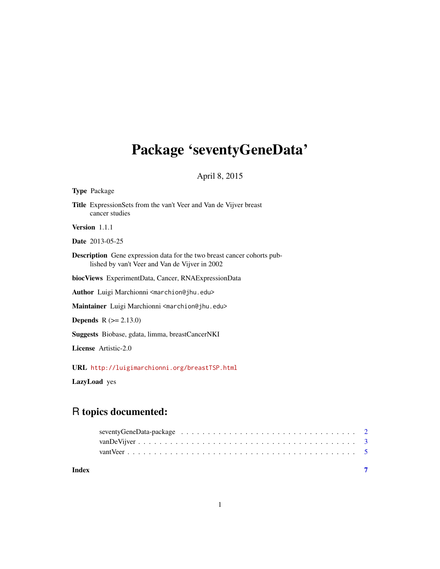## <span id="page-0-0"></span>Package 'seventyGeneData'

April 8, 2015

## Type Package Title ExpressionSets from the van't Veer and Van de Vijver breast cancer studies Version 1.1.1 Date 2013-05-25 Description Gene expression data for the two breast cancer cohorts published by van't Veer and Van de Vijver in 2002 biocViews ExperimentData, Cancer, RNAExpressionData Author Luigi Marchionni <marchion@jhu.edu> Maintainer Luigi Marchionni <marchion@jhu.edu> **Depends** R  $(>= 2.13.0)$ Suggests Biobase, gdata, limma, breastCancerNKI License Artistic-2.0

URL <http://luigimarchionni.org/breastTSP.html>

LazyLoad yes

### R topics documented:

| Index |  |  |  |  |  |  |  |  |  |  |  |  |  |  |  |  |  |
|-------|--|--|--|--|--|--|--|--|--|--|--|--|--|--|--|--|--|
|       |  |  |  |  |  |  |  |  |  |  |  |  |  |  |  |  |  |
|       |  |  |  |  |  |  |  |  |  |  |  |  |  |  |  |  |  |
|       |  |  |  |  |  |  |  |  |  |  |  |  |  |  |  |  |  |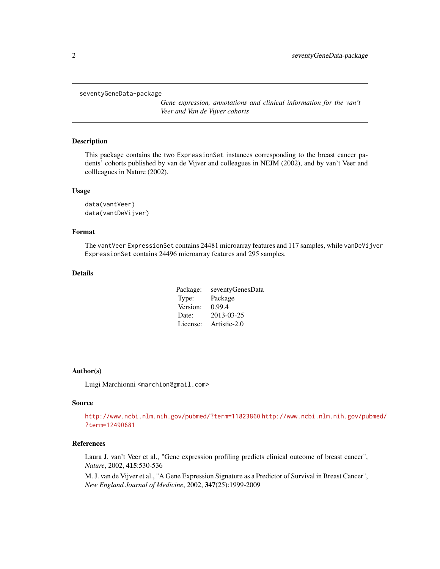<span id="page-1-0"></span>seventyGeneData-package

*Gene expression, annotations and clinical information for the van't Veer and Van de Vijver cohorts*

#### Description

This package contains the two ExpressionSet instances corresponding to the breast cancer patients' cohorts published by van de Vijver and colleagues in NEJM (2002), and by van't Veer and collleagues in Nature (2002).

#### Usage

```
data(vantVeer)
data(vantDeVijver)
```
#### Format

The vantVeer ExpressionSet contains 24481 microarray features and 117 samples, while vanDeVijver ExpressionSet contains 24496 microarray features and 295 samples.

#### Details

| Package: | seventyGenesData |
|----------|------------------|
| Type:    | Package          |
| Version: | 0.99.4           |
| Date:    | 2013-03-25       |
| License: | Artistic-2.0     |

#### Author(s)

Luigi Marchionni <marchion@gmail.com>

#### Source

<http://www.ncbi.nlm.nih.gov/pubmed/?term=11823860> [http://www.ncbi.nlm.nih.gov/pu](http://www.ncbi.nlm.nih.gov/pubmed/?term=12490681)bmed/ [?term=12490681](http://www.ncbi.nlm.nih.gov/pubmed/?term=12490681)

#### References

Laura J. van't Veer et al., "Gene expression profiling predicts clinical outcome of breast cancer", *Nature*, 2002, 415:530-536

M. J. van de Vijver et al., "A Gene Expression Signature as a Predictor of Survival in Breast Cancer", *New England Journal of Medicine*, 2002, 347(25):1999-2009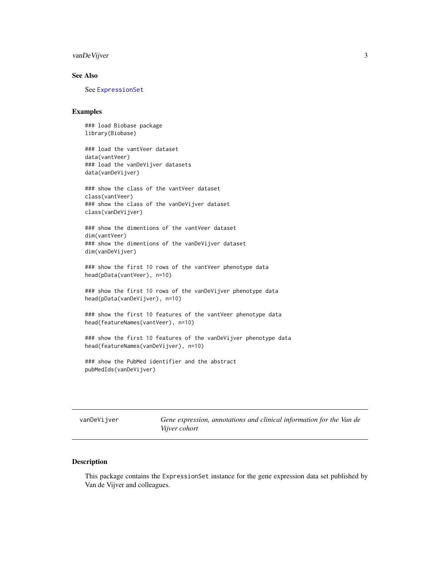#### <span id="page-2-0"></span>vanDeVijver 3

#### See Also

See [ExpressionSet](#page-0-0)

#### Examples

### load Biobase package library(Biobase)

### load the vantVeer dataset data(vantVeer) ### load the vanDeVijver datasets data(vanDeVijver)

### show the class of the vantVeer dataset class(vantVeer) ### show the class of the vanDeVijver dataset class(vanDeVijver)

### show the dimentions of the vantVeer dataset dim(vantVeer) ### show the dimentions of the vanDeVijver dataset dim(vanDeVijver)

### show the first 10 rows of the vantVeer phenotype data head(pData(vantVeer), n=10)

### show the first 10 rows of the vanDeVijver phenotype data head(pData(vanDeVijver), n=10)

### show the first 10 features of the vantVeer phenotype data head(featureNames(vantVeer), n=10)

### show the first 10 features of the vanDeVijver phenotype data head(featureNames(vanDeVijver), n=10)

### show the PubMed identifier and the abstract pubMedIds(vanDeVijver)

vanDeVijver *Gene expression, annotations and clinical information for the Van de Vijver cohort*

#### Description

This package contains the ExpressionSet instance for the gene expression data set published by Van de Vijver and colleagues.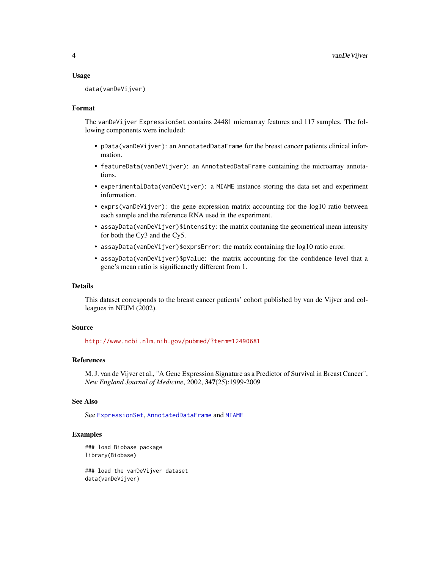#### Usage

data(vanDeVijver)

#### Format

The vanDeVijver ExpressionSet contains 24481 microarray features and 117 samples. The following components were included:

- pData(vanDeVijver): an AnnotatedDataFrame for the breast cancer patients clinical information.
- featureData(vanDeVijver): an AnnotatedDataFrame containing the microarray annotations.
- experimentalData(vanDeVijver): a MIAME instance storing the data set and experiment information.
- exprs(vanDeVijver): the gene expression matrix accounting for the log10 ratio between each sample and the reference RNA used in the experiment.
- assayData(vanDeVijver)\$intensity: the matrix contaning the geometrical mean intensity for both the Cy3 and the Cy5.
- assayData(vanDeVijver)\$exprsError: the matrix containing the log10 ratio error.
- assayData(vanDeVijver)\$pValue: the matrix accounting for the confidence level that a gene's mean ratio is significanctly different from 1.

#### Details

This dataset corresponds to the breast cancer patients' cohort published by van de Vijver and colleagues in NEJM (2002).

#### Source

<http://www.ncbi.nlm.nih.gov/pubmed/?term=12490681>

#### References

M. J. van de Vijver et al., "A Gene Expression Signature as a Predictor of Survival in Breast Cancer", *New England Journal of Medicine*, 2002, 347(25):1999-2009

#### See Also

See [ExpressionSet](#page-0-0), [AnnotatedDataFrame](#page-0-0) and [MIAME](#page-0-0)

#### Examples

```
### load Biobase package
library(Biobase)
```
### load the vanDeVijver dataset data(vanDeVijver)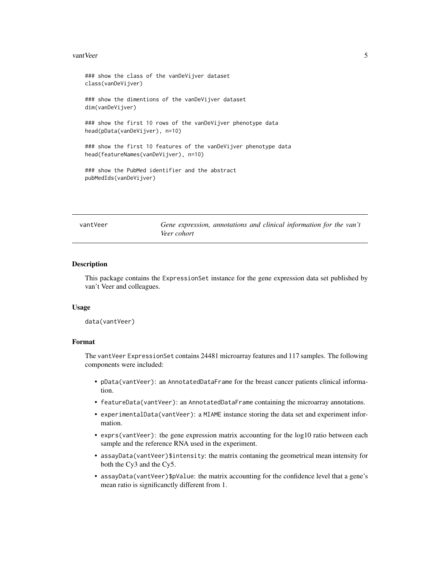#### <span id="page-4-0"></span>vant Veer 5

### show the class of the vanDeVijver dataset class(vanDeVijver) ### show the dimentions of the vanDeVijver dataset dim(vanDeVijver) ### show the first 10 rows of the vanDeVijver phenotype data head(pData(vanDeVijver), n=10) ### show the first 10 features of the vanDeVijver phenotype data head(featureNames(vanDeVijver), n=10) ### show the PubMed identifier and the abstract pubMedIds(vanDeVijver)

vantVeer *Gene expression, annotations and clinical information for the van't Veer cohort*

#### Description

This package contains the ExpressionSet instance for the gene expression data set published by van't Veer and colleagues.

#### Usage

data(vantVeer)

#### Format

The vantVeer ExpressionSet contains 24481 microarray features and 117 samples. The following components were included:

- pData(vantVeer): an AnnotatedDataFrame for the breast cancer patients clinical information.
- featureData(vantVeer): an AnnotatedDataFrame containing the microarray annotations.
- experimentalData(vantVeer): a MIAME instance storing the data set and experiment information.
- exprs(vantVeer): the gene expression matrix accounting for the log10 ratio between each sample and the reference RNA used in the experiment.
- assayData(vantVeer)\$intensity: the matrix contaning the geometrical mean intensity for both the Cy3 and the Cy5.
- assayData(vantVeer)\$pValue: the matrix accounting for the confidence level that a gene's mean ratio is significanctly different from 1.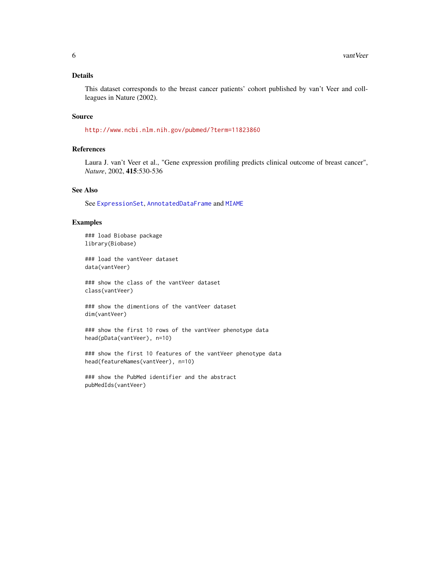#### Details

This dataset corresponds to the breast cancer patients' cohort published by van't Veer and collleagues in Nature (2002).

#### Source

<http://www.ncbi.nlm.nih.gov/pubmed/?term=11823860>

#### References

Laura J. van't Veer et al., "Gene expression profiling predicts clinical outcome of breast cancer", *Nature*, 2002, 415:530-536

#### See Also

See [ExpressionSet](#page-0-0), [AnnotatedDataFrame](#page-0-0) and [MIAME](#page-0-0)

#### Examples

### load Biobase package library(Biobase)

### load the vantVeer dataset data(vantVeer)

### show the class of the vantVeer dataset class(vantVeer)

### show the dimentions of the vantVeer dataset dim(vantVeer)

### show the first 10 rows of the vantVeer phenotype data head(pData(vantVeer), n=10)

### show the first 10 features of the vantVeer phenotype data head(featureNames(vantVeer), n=10)

### show the PubMed identifier and the abstract pubMedIds(vantVeer)